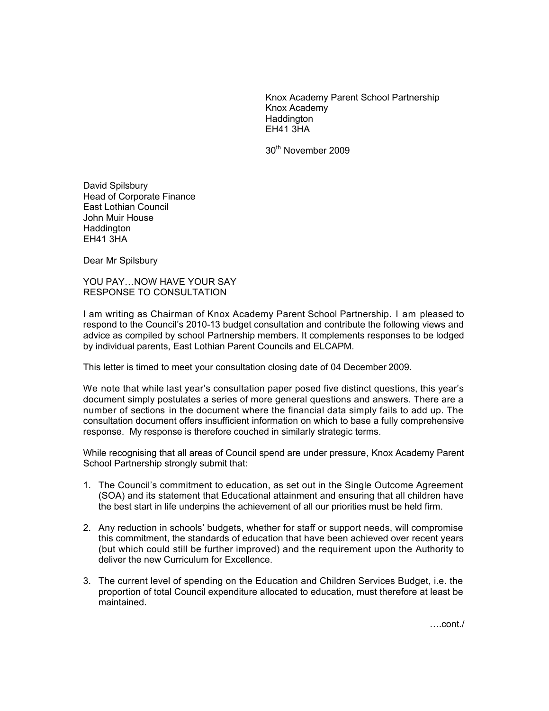Knox Academy Parent School Partnership Knox Academy **Haddington** EH41 3HA

30th November 2009

David Spilsbury Head of Corporate Finance East Lothian Council John Muir House Haddington EH41 3HA

Dear Mr Spilsbury

YOU PAY…NOW HAVE YOUR SAY RESPONSE TO CONSULTATION

I am writing as Chairman of Knox Academy Parent School Partnership. I am pleased to respond to the Council's 2010-13 budget consultation and contribute the following views and advice as compiled by school Partnership members. It complements responses to be lodged by individual parents, East Lothian Parent Councils and ELCAPM.

This letter is timed to meet your consultation closing date of 04 December 2009.

We note that while last year's consultation paper posed five distinct questions, this year's document simply postulates a series of more general questions and answers. There are a number of sections in the document where the financial data simply fails to add up. The consultation document offers insufficient information on which to base a fully comprehensive response. My response is therefore couched in similarly strategic terms.

While recognising that all areas of Council spend are under pressure, Knox Academy Parent School Partnership strongly submit that:

- 1. The Council's commitment to education, as set out in the Single Outcome Agreement (SOA) and its statement that Educational attainment and ensuring that all children have the best start in life underpins the achievement of all our priorities must be held firm.
- 2. Any reduction in schools' budgets, whether for staff or support needs, will compromise this commitment, the standards of education that have been achieved over recent years (but which could still be further improved) and the requirement upon the Authority to deliver the new Curriculum for Excellence.
- 3. The current level of spending on the Education and Children Services Budget, i.e. the proportion of total Council expenditure allocated to education, must therefore at least be maintained.

….cont./